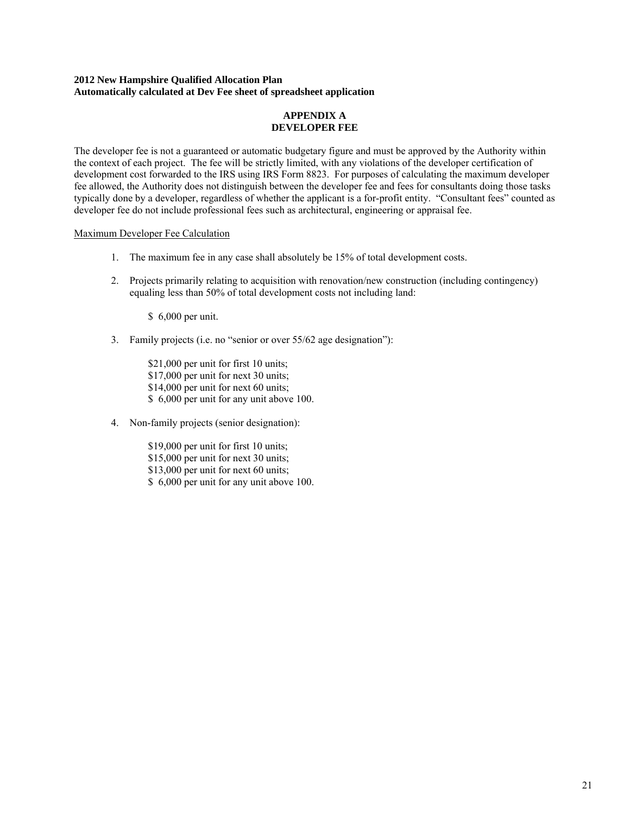## **2012 New Hampshire Qualified Allocation Plan Automatically calculated at Dev Fee sheet of spreadsheet application**

## **APPENDIX A DEVELOPER FEE**

The developer fee is not a guaranteed or automatic budgetary figure and must be approved by the Authority within the context of each project. The fee will be strictly limited, with any violations of the developer certification of development cost forwarded to the IRS using IRS Form 8823. For purposes of calculating the maximum developer fee allowed, the Authority does not distinguish between the developer fee and fees for consultants doing those tasks typically done by a developer, regardless of whether the applicant is a for-profit entity. "Consultant fees" counted as developer fee do not include professional fees such as architectural, engineering or appraisal fee.

## Maximum Developer Fee Calculation

- 1. The maximum fee in any case shall absolutely be 15% of total development costs.
- 2. Projects primarily relating to acquisition with renovation/new construction (including contingency) equaling less than 50% of total development costs not including land:

\$ 6,000 per unit.

3. Family projects (i.e. no "senior or over 55/62 age designation"):

\$21,000 per unit for first 10 units; \$17,000 per unit for next 30 units; \$14,000 per unit for next 60 units; \$ 6,000 per unit for any unit above 100.

4. Non-family projects (senior designation):

\$19,000 per unit for first 10 units; \$15,000 per unit for next 30 units; \$13,000 per unit for next 60 units; \$ 6,000 per unit for any unit above 100.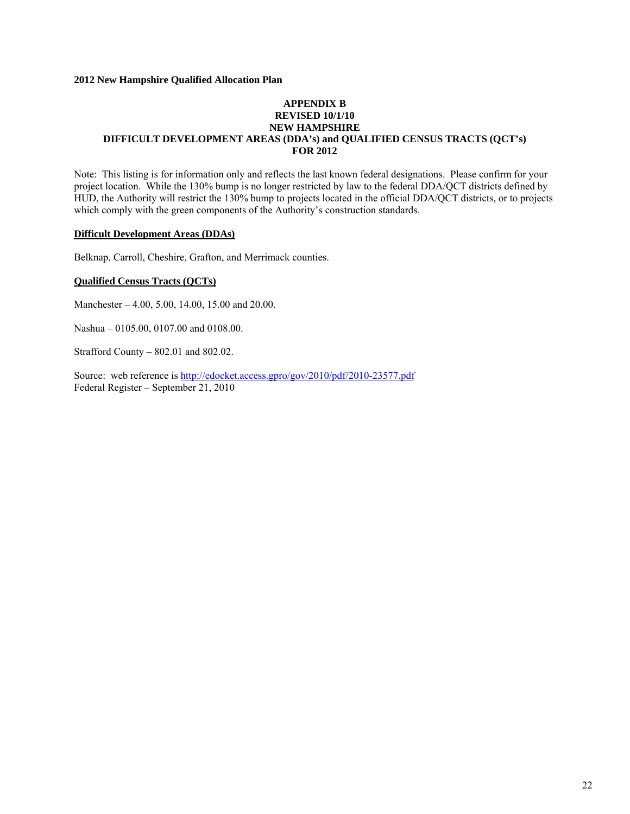## **APPENDIX B REVISED 10/1/10 NEW HAMPSHIRE DIFFICULT DEVELOPMENT AREAS (DDA's) and QUALIFIED CENSUS TRACTS (QCT's) FOR 2012**

Note: This listing is for information only and reflects the last known federal designations. Please confirm for your project location. While the 130% bump is no longer restricted by law to the federal DDA/QCT districts defined by HUD, the Authority will restrict the 130% bump to projects located in the official DDA/QCT districts, or to projects which comply with the green components of the Authority's construction standards.

#### **Difficult Development Areas (DDAs)**

Belknap, Carroll, Cheshire, Grafton, and Merrimack counties.

## **Qualified Census Tracts (QCTs)**

Manchester – 4.00, 5.00, 14.00, 15.00 and 20.00.

Nashua – 0105.00, 0107.00 and 0108.00.

Strafford County – 802.01 and 802.02.

Source: web reference is http://edocket.access.gpro/gov/2010/pdf/2010-23577.pdf Federal Register – September 21, 2010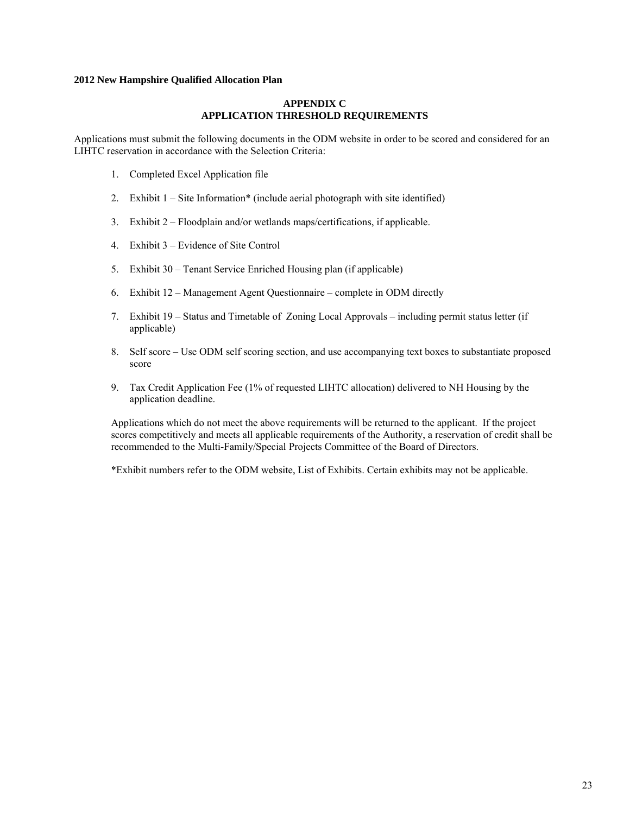## **APPENDIX C APPLICATION THRESHOLD REQUIREMENTS**

Applications must submit the following documents in the ODM website in order to be scored and considered for an LIHTC reservation in accordance with the Selection Criteria:

- 1. Completed Excel Application file
- 2. Exhibit 1 Site Information\* (include aerial photograph with site identified)
- 3. Exhibit 2 Floodplain and/or wetlands maps/certifications, if applicable.
- 4. Exhibit 3 Evidence of Site Control
- 5. Exhibit 30 Tenant Service Enriched Housing plan (if applicable)
- 6. Exhibit 12 Management Agent Questionnaire complete in ODM directly
- 7. Exhibit 19 Status and Timetable of Zoning Local Approvals including permit status letter (if applicable)
- 8. Self score Use ODM self scoring section, and use accompanying text boxes to substantiate proposed score
- 9. Tax Credit Application Fee (1% of requested LIHTC allocation) delivered to NH Housing by the application deadline.

Applications which do not meet the above requirements will be returned to the applicant. If the project scores competitively and meets all applicable requirements of the Authority, a reservation of credit shall be recommended to the Multi-Family/Special Projects Committee of the Board of Directors.

\*Exhibit numbers refer to the ODM website, List of Exhibits. Certain exhibits may not be applicable.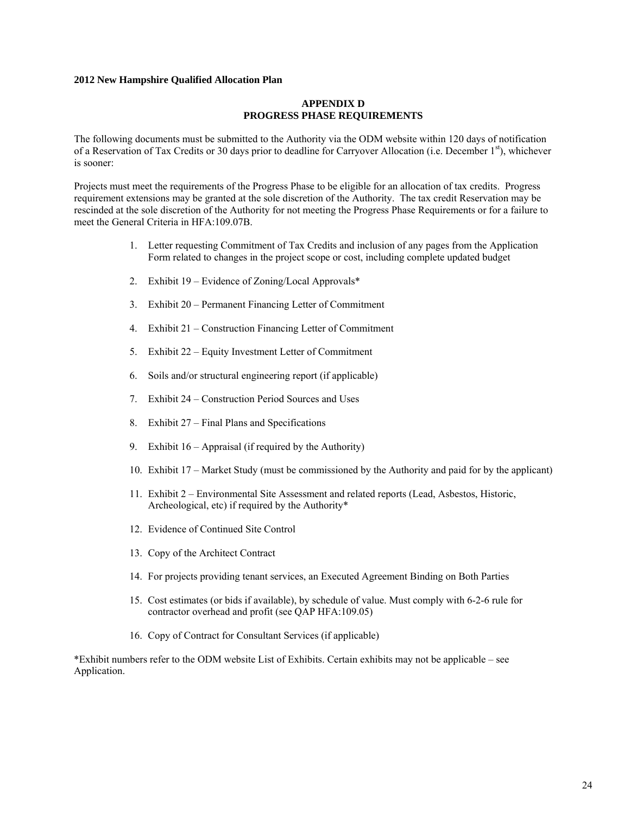#### **APPENDIX D PROGRESS PHASE REQUIREMENTS**

The following documents must be submitted to the Authority via the ODM website within 120 days of notification of a Reservation of Tax Credits or 30 days prior to deadline for Carryover Allocation (i.e. December 1st), whichever is sooner:

Projects must meet the requirements of the Progress Phase to be eligible for an allocation of tax credits. Progress requirement extensions may be granted at the sole discretion of the Authority. The tax credit Reservation may be rescinded at the sole discretion of the Authority for not meeting the Progress Phase Requirements or for a failure to meet the General Criteria in HFA:109.07B.

- 1. Letter requesting Commitment of Tax Credits and inclusion of any pages from the Application Form related to changes in the project scope or cost, including complete updated budget
- 2. Exhibit 19 Evidence of Zoning/Local Approvals\*
- 3. Exhibit 20 Permanent Financing Letter of Commitment
- 4. Exhibit 21 Construction Financing Letter of Commitment
- 5. Exhibit 22 Equity Investment Letter of Commitment
- 6. Soils and/or structural engineering report (if applicable)
- 7. Exhibit 24 Construction Period Sources and Uses
- 8. Exhibit 27 Final Plans and Specifications
- 9. Exhibit 16 Appraisal (if required by the Authority)
- 10. Exhibit 17 Market Study (must be commissioned by the Authority and paid for by the applicant)
- 11. Exhibit 2 Environmental Site Assessment and related reports (Lead, Asbestos, Historic, Archeological, etc) if required by the Authority\*
- 12. Evidence of Continued Site Control
- 13. Copy of the Architect Contract
- 14. For projects providing tenant services, an Executed Agreement Binding on Both Parties
- 15. Cost estimates (or bids if available), by schedule of value. Must comply with 6-2-6 rule for contractor overhead and profit (see QAP HFA:109.05)
- 16. Copy of Contract for Consultant Services (if applicable)

\*Exhibit numbers refer to the ODM website List of Exhibits. Certain exhibits may not be applicable – see Application.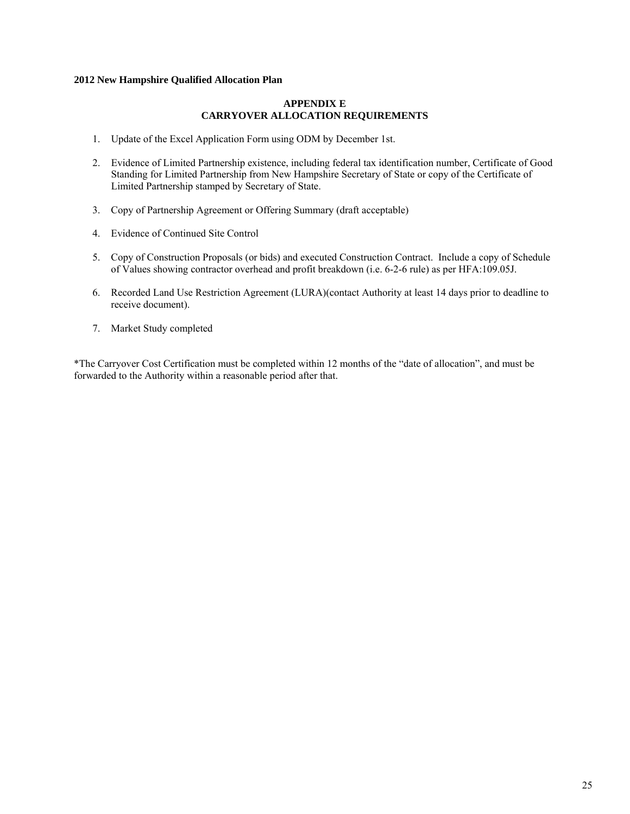## **APPENDIX E CARRYOVER ALLOCATION REQUIREMENTS**

- 1. Update of the Excel Application Form using ODM by December 1st.
- 2. Evidence of Limited Partnership existence, including federal tax identification number, Certificate of Good Standing for Limited Partnership from New Hampshire Secretary of State or copy of the Certificate of Limited Partnership stamped by Secretary of State.
- 3. Copy of Partnership Agreement or Offering Summary (draft acceptable)
- 4. Evidence of Continued Site Control
- 5. Copy of Construction Proposals (or bids) and executed Construction Contract. Include a copy of Schedule of Values showing contractor overhead and profit breakdown (i.e. 6-2-6 rule) as per HFA:109.05J.
- 6. Recorded Land Use Restriction Agreement (LURA)(contact Authority at least 14 days prior to deadline to receive document).
- 7. Market Study completed

\*The Carryover Cost Certification must be completed within 12 months of the "date of allocation", and must be forwarded to the Authority within a reasonable period after that.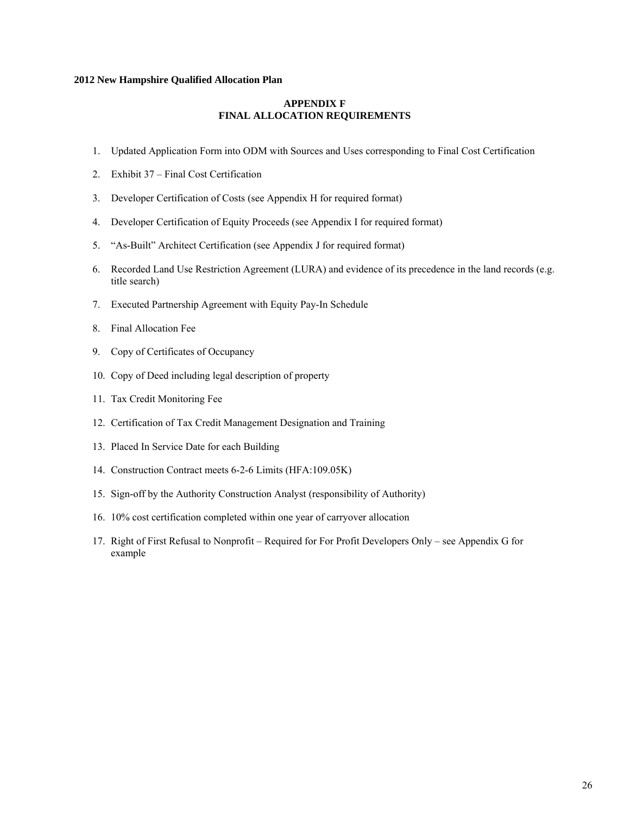## **APPENDIX F FINAL ALLOCATION REQUIREMENTS**

- 1. Updated Application Form into ODM with Sources and Uses corresponding to Final Cost Certification
- 2. Exhibit 37 Final Cost Certification
- 3. Developer Certification of Costs (see Appendix H for required format)
- 4. Developer Certification of Equity Proceeds (see Appendix I for required format)
- 5. "As-Built" Architect Certification (see Appendix J for required format)
- 6. Recorded Land Use Restriction Agreement (LURA) and evidence of its precedence in the land records (e.g. title search)
- 7. Executed Partnership Agreement with Equity Pay-In Schedule
- 8. Final Allocation Fee
- 9. Copy of Certificates of Occupancy
- 10. Copy of Deed including legal description of property
- 11. Tax Credit Monitoring Fee
- 12. Certification of Tax Credit Management Designation and Training
- 13. Placed In Service Date for each Building
- 14. Construction Contract meets 6-2-6 Limits (HFA:109.05K)
- 15. Sign-off by the Authority Construction Analyst (responsibility of Authority)
- 16. 10% cost certification completed within one year of carryover allocation
- 17. Right of First Refusal to Nonprofit Required for For Profit Developers Only see Appendix G for example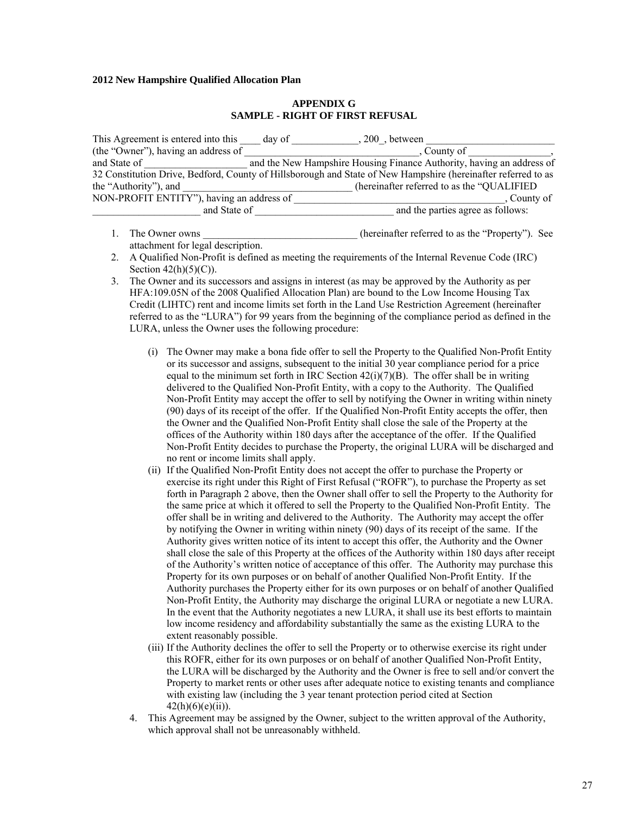#### **APPENDIX G SAMPLE - RIGHT OF FIRST REFUSAL**

| This Agreement is entered into this                                                                           | day of | 200, between                                                          |  |  |  |  |
|---------------------------------------------------------------------------------------------------------------|--------|-----------------------------------------------------------------------|--|--|--|--|
| (the "Owner"), having an address of                                                                           |        | . County of                                                           |  |  |  |  |
| and State of                                                                                                  |        | and the New Hampshire Housing Finance Authority, having an address of |  |  |  |  |
| 32 Constitution Drive, Bedford, County of Hillsborough and State of New Hampshire (hereinafter referred to as |        |                                                                       |  |  |  |  |
| the "Authority"), and                                                                                         |        | (hereinafter referred to as the "QUALIFIED"                           |  |  |  |  |
| NON-PROFIT ENTITY"), having an address of                                                                     |        | County of                                                             |  |  |  |  |
| and State of                                                                                                  |        | and the parties agree as follows:                                     |  |  |  |  |

- 1. The Owner owns the compact of the own state of the inferred to as the "Property"). See attachment for legal description.
- 2. A Qualified Non-Profit is defined as meeting the requirements of the Internal Revenue Code (IRC) Section  $42(h)(5)(C)$ .
- 3. The Owner and its successors and assigns in interest (as may be approved by the Authority as per HFA:109.05N of the 2008 Qualified Allocation Plan) are bound to the Low Income Housing Tax Credit (LIHTC) rent and income limits set forth in the Land Use Restriction Agreement (hereinafter referred to as the "LURA") for 99 years from the beginning of the compliance period as defined in the LURA, unless the Owner uses the following procedure:
	- (i) The Owner may make a bona fide offer to sell the Property to the Qualified Non-Profit Entity or its successor and assigns, subsequent to the initial 30 year compliance period for a price equal to the minimum set forth in IRC Section  $42(i)(7)(B)$ . The offer shall be in writing delivered to the Qualified Non-Profit Entity, with a copy to the Authority. The Qualified Non-Profit Entity may accept the offer to sell by notifying the Owner in writing within ninety (90) days of its receipt of the offer. If the Qualified Non-Profit Entity accepts the offer, then the Owner and the Qualified Non-Profit Entity shall close the sale of the Property at the offices of the Authority within 180 days after the acceptance of the offer. If the Qualified Non-Profit Entity decides to purchase the Property, the original LURA will be discharged and no rent or income limits shall apply.
	- (ii) If the Qualified Non-Profit Entity does not accept the offer to purchase the Property or exercise its right under this Right of First Refusal ("ROFR"), to purchase the Property as set forth in Paragraph 2 above, then the Owner shall offer to sell the Property to the Authority for the same price at which it offered to sell the Property to the Qualified Non-Profit Entity. The offer shall be in writing and delivered to the Authority. The Authority may accept the offer by notifying the Owner in writing within ninety (90) days of its receipt of the same. If the Authority gives written notice of its intent to accept this offer, the Authority and the Owner shall close the sale of this Property at the offices of the Authority within 180 days after receipt of the Authority's written notice of acceptance of this offer. The Authority may purchase this Property for its own purposes or on behalf of another Qualified Non-Profit Entity. If the Authority purchases the Property either for its own purposes or on behalf of another Qualified Non-Profit Entity, the Authority may discharge the original LURA or negotiate a new LURA. In the event that the Authority negotiates a new LURA, it shall use its best efforts to maintain low income residency and affordability substantially the same as the existing LURA to the extent reasonably possible.
	- (iii) If the Authority declines the offer to sell the Property or to otherwise exercise its right under this ROFR, either for its own purposes or on behalf of another Qualified Non-Profit Entity, the LURA will be discharged by the Authority and the Owner is free to sell and/or convert the Property to market rents or other uses after adequate notice to existing tenants and compliance with existing law (including the 3 year tenant protection period cited at Section  $42(h)(6)(e)(ii)$ ).
	- 4. This Agreement may be assigned by the Owner, subject to the written approval of the Authority, which approval shall not be unreasonably withheld.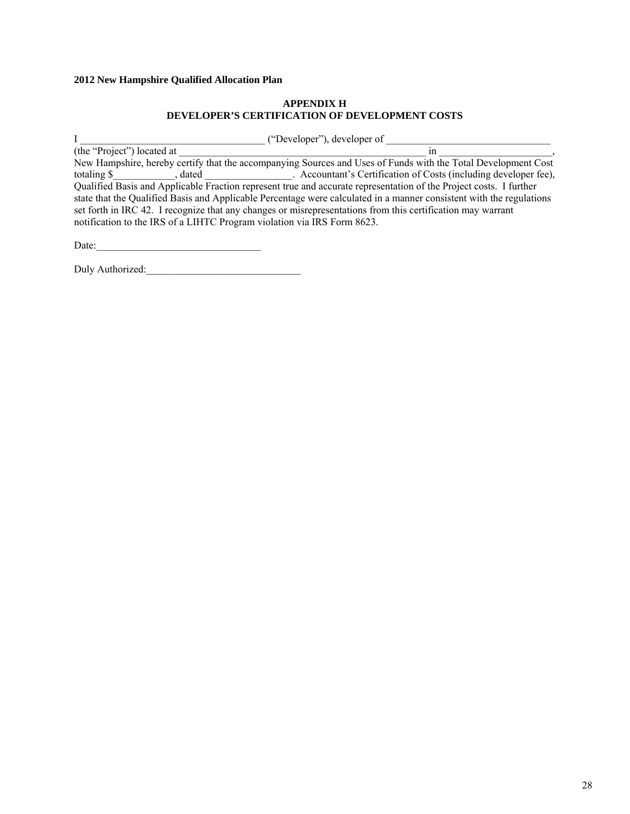## **APPENDIX H DEVELOPER'S CERTIFICATION OF DEVELOPMENT COSTS**

I \_\_\_\_\_\_\_\_\_\_\_\_\_\_\_\_\_\_\_\_\_\_\_\_\_\_\_\_\_\_\_\_\_\_\_\_ ("Developer"), developer of \_\_\_\_\_\_\_\_\_\_\_\_\_\_\_\_\_\_\_\_\_\_\_\_\_\_\_\_\_\_\_\_  $(the "Project")$  located at  $\qquad \qquad$  in  $\qquad \qquad$ , New Hampshire, hereby certify that the accompanying Sources and Uses of Funds with the Total Development Cost totaling \$\_\_\_\_\_\_\_\_\_\_\_, dated \_\_\_\_\_\_\_\_\_\_\_\_\_. Accountant's Certification of Costs (including developer fee), Qualified Basis and Applicable Fraction represent true and accurate representation of the Project costs. I further state that the Qualified Basis and Applicable Percentage were calculated in a manner consistent with the regulations set forth in IRC 42. I recognize that any changes or misrepresentations from this certification may warrant notification to the IRS of a LIHTC Program violation via IRS Form 8623.

Date:

Duly Authorized: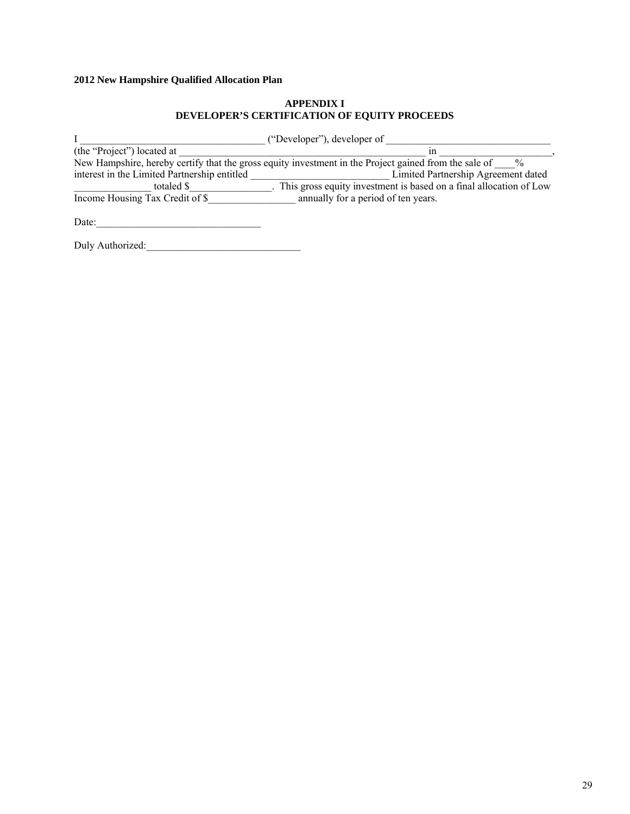## **APPENDIX I DEVELOPER'S CERTIFICATION OF EQUITY PROCEEDS**

| ("Developer"), developer of                                                                                            |                                                                      |  |  |  |  |
|------------------------------------------------------------------------------------------------------------------------|----------------------------------------------------------------------|--|--|--|--|
| (the "Project") located at                                                                                             | ın                                                                   |  |  |  |  |
| New Hampshire, hereby certify that the gross equity investment in the Project gained from the sale of<br>$\frac{0}{0}$ |                                                                      |  |  |  |  |
| interest in the Limited Partnership entitled                                                                           | Limited Partnership Agreement dated                                  |  |  |  |  |
| totaled \$                                                                                                             | . This gross equity investment is based on a final allocation of Low |  |  |  |  |
| Income Housing Tax Credit of \$                                                                                        | annually for a period of ten years.                                  |  |  |  |  |
|                                                                                                                        |                                                                      |  |  |  |  |

Date:\_\_\_\_\_\_\_\_\_\_\_\_\_\_\_\_\_\_\_\_\_\_\_\_\_\_\_\_\_\_\_\_

Duly Authorized:\_\_\_\_\_\_\_\_\_\_\_\_\_\_\_\_\_\_\_\_\_\_\_\_\_\_\_\_\_\_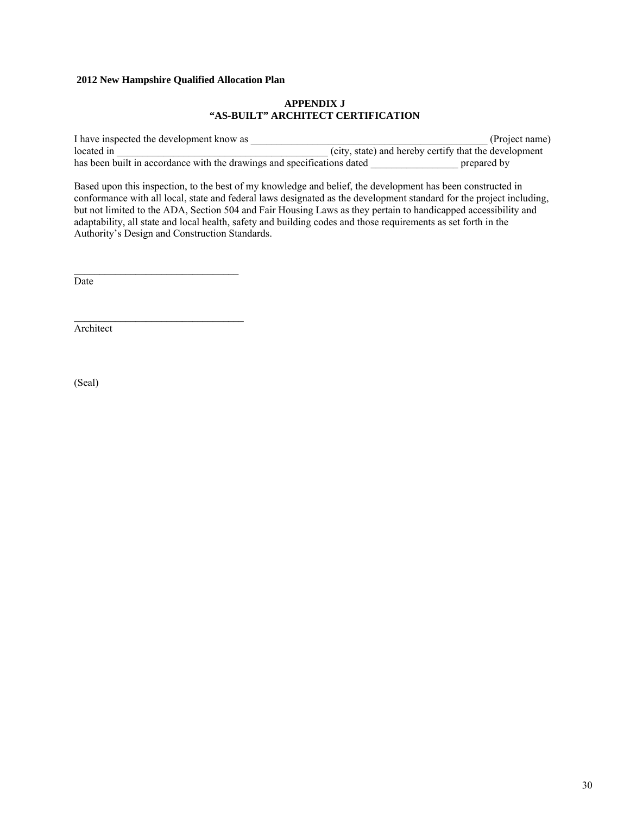$\mathcal{L}=\mathcal{L}=\mathcal{L}=\mathcal{L}=\mathcal{L}=\mathcal{L}=\mathcal{L}=\mathcal{L}=\mathcal{L}=\mathcal{L}=\mathcal{L}=\mathcal{L}=\mathcal{L}=\mathcal{L}=\mathcal{L}=\mathcal{L}=\mathcal{L}=\mathcal{L}=\mathcal{L}=\mathcal{L}=\mathcal{L}=\mathcal{L}=\mathcal{L}=\mathcal{L}=\mathcal{L}=\mathcal{L}=\mathcal{L}=\mathcal{L}=\mathcal{L}=\mathcal{L}=\mathcal{L}=\mathcal{L}=\mathcal{L}=\mathcal{L}=\mathcal{L}=\mathcal{L}=\mathcal{$ 

## **APPENDIX J "AS-BUILT" ARCHITECT CERTIFICATION**

I have inspected the development know as \_\_\_\_\_\_\_\_\_\_\_\_\_\_\_\_\_\_\_\_\_\_\_\_\_\_\_\_\_\_\_\_\_\_\_\_\_\_\_\_\_\_\_\_\_\_ (Project name) located in  $(city, state)$  and hereby certify that the development has been built in accordance with the drawings and specifications dated \_\_\_\_\_\_\_\_\_\_\_\_\_\_\_\_\_\_\_\_\_\_\_ prepared by

Based upon this inspection, to the best of my knowledge and belief, the development has been constructed in conformance with all local, state and federal laws designated as the development standard for the project including, but not limited to the ADA, Section 504 and Fair Housing Laws as they pertain to handicapped accessibility and adaptability, all state and local health, safety and building codes and those requirements as set forth in the Authority's Design and Construction Standards.

Date

Architect

(Seal)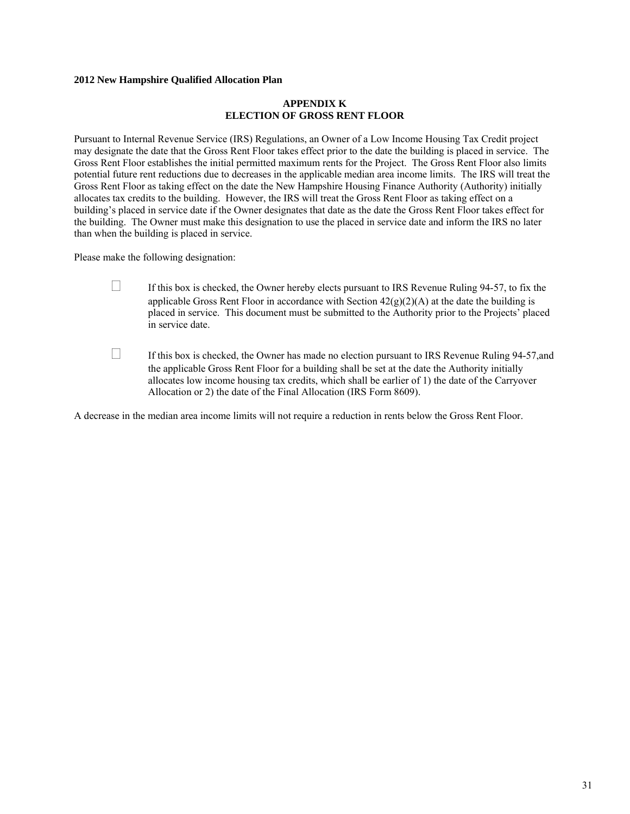## **APPENDIX K ELECTION OF GROSS RENT FLOOR**

Pursuant to Internal Revenue Service (IRS) Regulations, an Owner of a Low Income Housing Tax Credit project may designate the date that the Gross Rent Floor takes effect prior to the date the building is placed in service. The Gross Rent Floor establishes the initial permitted maximum rents for the Project. The Gross Rent Floor also limits potential future rent reductions due to decreases in the applicable median area income limits. The IRS will treat the Gross Rent Floor as taking effect on the date the New Hampshire Housing Finance Authority (Authority) initially allocates tax credits to the building. However, the IRS will treat the Gross Rent Floor as taking effect on a building's placed in service date if the Owner designates that date as the date the Gross Rent Floor takes effect for the building. The Owner must make this designation to use the placed in service date and inform the IRS no later than when the building is placed in service.

Please make the following designation:

- $\Box$  If this box is checked, the Owner hereby elects pursuant to IRS Revenue Ruling 94-57, to fix the applicable Gross Rent Floor in accordance with Section  $42(g)(2)(A)$  at the date the building is placed in service. This document must be submitted to the Authority prior to the Projects' placed in service date.
- $\Box$  If this box is checked, the Owner has made no election pursuant to IRS Revenue Ruling 94-57, and the applicable Gross Rent Floor for a building shall be set at the date the Authority initially allocates low income housing tax credits, which shall be earlier of 1) the date of the Carryover Allocation or 2) the date of the Final Allocation (IRS Form 8609).

A decrease in the median area income limits will not require a reduction in rents below the Gross Rent Floor.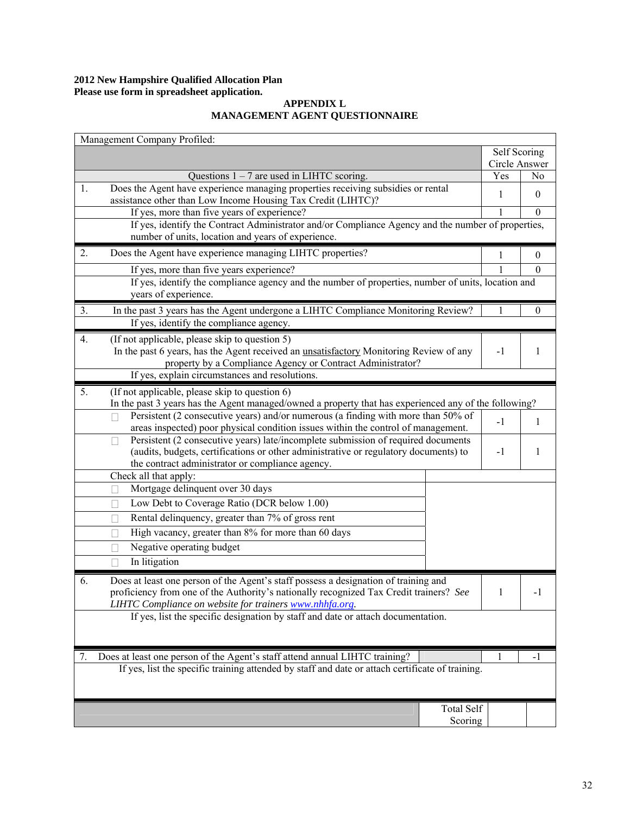## **2012 New Hampshire Qualified Allocation Plan Please use form in spreadsheet application.**

## **APPENDIX L MANAGEMENT AGENT QUESTIONNAIRE**

| Management Company Profiled:                                                                                                                                                  |               |                  |  |  |  |
|-------------------------------------------------------------------------------------------------------------------------------------------------------------------------------|---------------|------------------|--|--|--|
|                                                                                                                                                                               | Self Scoring  |                  |  |  |  |
|                                                                                                                                                                               | Circle Answer |                  |  |  |  |
| Questions $1 - 7$ are used in LIHTC scoring.                                                                                                                                  | Yes           | N <sub>0</sub>   |  |  |  |
| Does the Agent have experience managing properties receiving subsidies or rental<br>1.<br>assistance other than Low Income Housing Tax Credit (LIHTC)?                        | 1             | $\boldsymbol{0}$ |  |  |  |
| If yes, more than five years of experience?                                                                                                                                   |               | $\theta$         |  |  |  |
| If yes, identify the Contract Administrator and/or Compliance Agency and the number of properties,                                                                            |               |                  |  |  |  |
| number of units, location and years of experience.                                                                                                                            |               |                  |  |  |  |
| 2.<br>Does the Agent have experience managing LIHTC properties?                                                                                                               | 1             | $\mathbf{0}$     |  |  |  |
| If yes, more than five years experience?                                                                                                                                      |               | $\mathbf{0}$     |  |  |  |
| If yes, identify the compliance agency and the number of properties, number of units, location and                                                                            |               |                  |  |  |  |
| years of experience.                                                                                                                                                          |               |                  |  |  |  |
| In the past 3 years has the Agent undergone a LIHTC Compliance Monitoring Review?<br>3.                                                                                       |               | $\mathbf{0}$     |  |  |  |
| If yes, identify the compliance agency.                                                                                                                                       |               |                  |  |  |  |
| (If not applicable, please skip to question 5)<br>4.                                                                                                                          |               |                  |  |  |  |
| In the past 6 years, has the Agent received an unsatisfactory Monitoring Review of any                                                                                        | $-1$          | 1                |  |  |  |
| property by a Compliance Agency or Contract Administrator?                                                                                                                    |               |                  |  |  |  |
| If yes, explain circumstances and resolutions.                                                                                                                                |               |                  |  |  |  |
| 5.<br>(If not applicable, please skip to question 6)                                                                                                                          |               |                  |  |  |  |
| In the past 3 years has the Agent managed/owned a property that has experienced any of the following?                                                                         |               |                  |  |  |  |
| Persistent (2 consecutive years) and/or numerous (a finding with more than 50% of                                                                                             |               |                  |  |  |  |
| areas inspected) poor physical condition issues within the control of management.                                                                                             | $-1$          | 1                |  |  |  |
| Persistent (2 consecutive years) late/incomplete submission of required documents<br>Ш                                                                                        |               |                  |  |  |  |
| (audits, budgets, certifications or other administrative or regulatory documents) to                                                                                          | $-1$          | 1                |  |  |  |
| the contract administrator or compliance agency.                                                                                                                              |               |                  |  |  |  |
| Check all that apply:                                                                                                                                                         |               |                  |  |  |  |
| Mortgage delinquent over 30 days<br>П                                                                                                                                         |               |                  |  |  |  |
| Low Debt to Coverage Ratio (DCR below 1.00)                                                                                                                                   |               |                  |  |  |  |
| Rental delinquency, greater than 7% of gross rent<br>$\mathbf{L}$                                                                                                             |               |                  |  |  |  |
| High vacancy, greater than 8% for more than 60 days                                                                                                                           |               |                  |  |  |  |
| Negative operating budget<br>$\mathbb{R}$                                                                                                                                     |               |                  |  |  |  |
| In litigation<br>П                                                                                                                                                            |               |                  |  |  |  |
| 6.                                                                                                                                                                            |               |                  |  |  |  |
| Does at least one person of the Agent's staff possess a designation of training and<br>proficiency from one of the Authority's nationally recognized Tax Credit trainers? See |               |                  |  |  |  |
| LIHTC Compliance on website for trainers www.nhhfa.org.                                                                                                                       |               |                  |  |  |  |
| If yes, list the specific designation by staff and date or attach documentation.                                                                                              |               |                  |  |  |  |
|                                                                                                                                                                               |               |                  |  |  |  |
|                                                                                                                                                                               |               |                  |  |  |  |
| Does at least one person of the Agent's staff attend annual LIHTC training?<br>7.                                                                                             |               | -1               |  |  |  |
| If yes, list the specific training attended by staff and date or attach certificate of training.                                                                              |               |                  |  |  |  |
|                                                                                                                                                                               |               |                  |  |  |  |
|                                                                                                                                                                               |               |                  |  |  |  |
| <b>Total Self</b>                                                                                                                                                             |               |                  |  |  |  |
| Scoring                                                                                                                                                                       |               |                  |  |  |  |